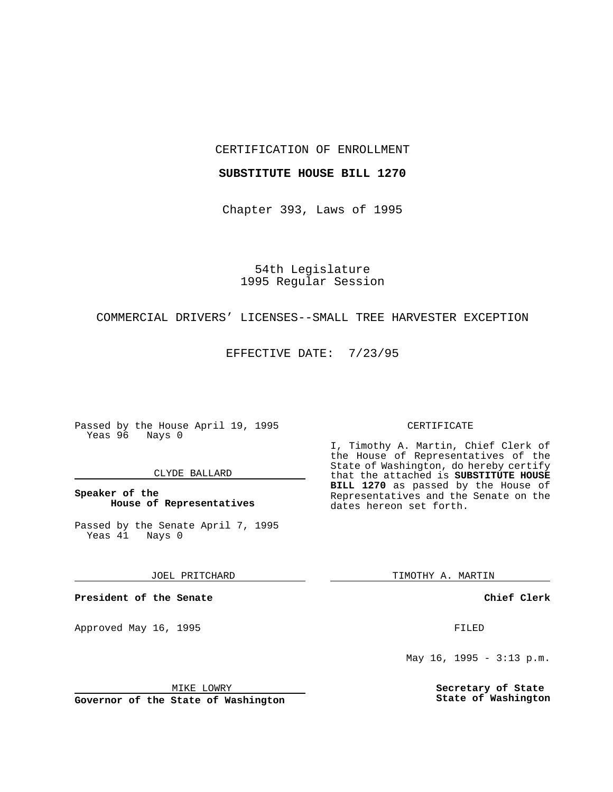CERTIFICATION OF ENROLLMENT

## **SUBSTITUTE HOUSE BILL 1270**

Chapter 393, Laws of 1995

54th Legislature 1995 Regular Session

## COMMERCIAL DRIVERS' LICENSES--SMALL TREE HARVESTER EXCEPTION

EFFECTIVE DATE: 7/23/95

Passed by the House April 19, 1995 Yeas 96 Nays 0

## CLYDE BALLARD

## **Speaker of the House of Representatives**

Passed by the Senate April 7, 1995<br>Yeas 41 Nays 0  $Yeas$  41

JOEL PRITCHARD

**President of the Senate**

Approved May 16, 1995 **FILED** 

MIKE LOWRY

**Governor of the State of Washington**

#### CERTIFICATE

I, Timothy A. Martin, Chief Clerk of the House of Representatives of the State of Washington, do hereby certify that the attached is **SUBSTITUTE HOUSE BILL 1270** as passed by the House of Representatives and the Senate on the dates hereon set forth.

TIMOTHY A. MARTIN

**Chief Clerk**

May 16, 1995 - 3:13 p.m.

**Secretary of State State of Washington**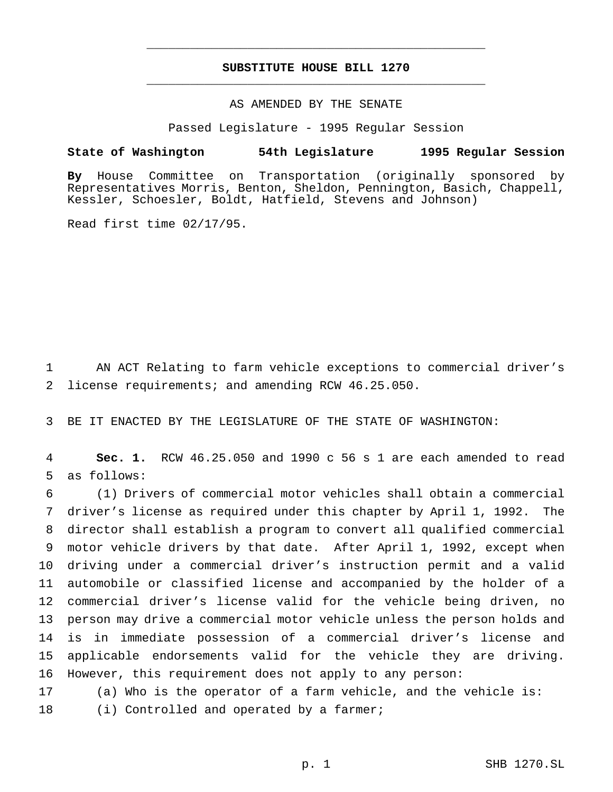# **SUBSTITUTE HOUSE BILL 1270** \_\_\_\_\_\_\_\_\_\_\_\_\_\_\_\_\_\_\_\_\_\_\_\_\_\_\_\_\_\_\_\_\_\_\_\_\_\_\_\_\_\_\_\_\_\_\_

\_\_\_\_\_\_\_\_\_\_\_\_\_\_\_\_\_\_\_\_\_\_\_\_\_\_\_\_\_\_\_\_\_\_\_\_\_\_\_\_\_\_\_\_\_\_\_

## AS AMENDED BY THE SENATE

Passed Legislature - 1995 Regular Session

#### **State of Washington 54th Legislature 1995 Regular Session**

**By** House Committee on Transportation (originally sponsored by Representatives Morris, Benton, Sheldon, Pennington, Basich, Chappell, Kessler, Schoesler, Boldt, Hatfield, Stevens and Johnson)

Read first time 02/17/95.

1 AN ACT Relating to farm vehicle exceptions to commercial driver's 2 license requirements; and amending RCW 46.25.050.

3 BE IT ENACTED BY THE LEGISLATURE OF THE STATE OF WASHINGTON:

4 **Sec. 1.** RCW 46.25.050 and 1990 c 56 s 1 are each amended to read 5 as follows:

 (1) Drivers of commercial motor vehicles shall obtain a commercial driver's license as required under this chapter by April 1, 1992. The director shall establish a program to convert all qualified commercial motor vehicle drivers by that date. After April 1, 1992, except when driving under a commercial driver's instruction permit and a valid automobile or classified license and accompanied by the holder of a commercial driver's license valid for the vehicle being driven, no person may drive a commercial motor vehicle unless the person holds and is in immediate possession of a commercial driver's license and applicable endorsements valid for the vehicle they are driving. However, this requirement does not apply to any person:

17 (a) Who is the operator of a farm vehicle, and the vehicle is:

18 (i) Controlled and operated by a farmer;